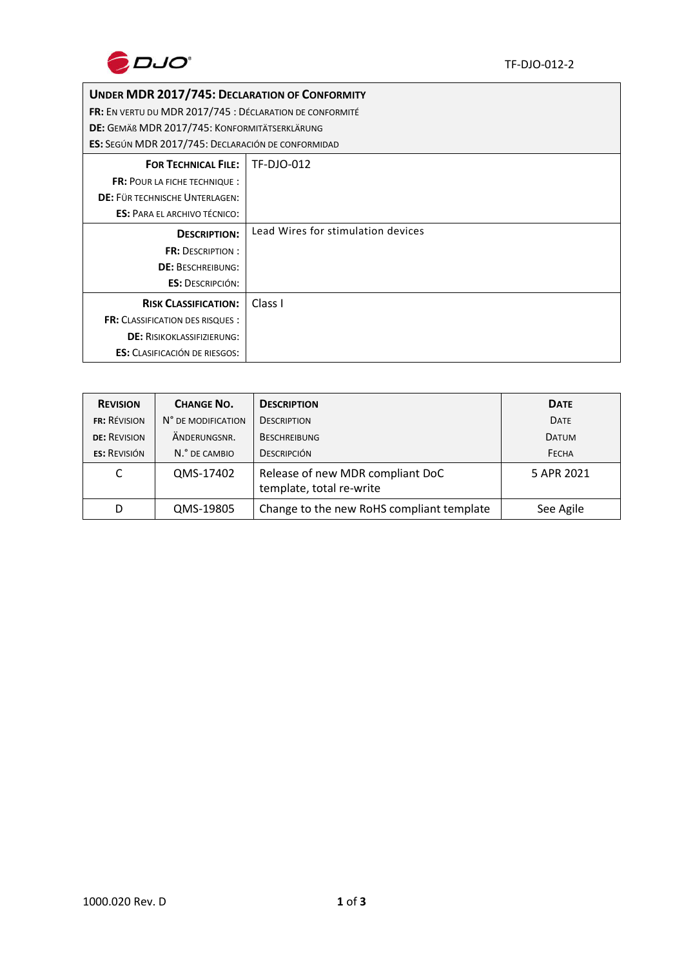

## **UNDER MDR 2017/745: DECLARATION OF CONFORMITY**

**FR:** EN VERTU DU MDR 2017/745 : DÉCLARATION DE CONFORMITÉ

**DE:** GEMÄß MDR 2017/745: KONFORMITÄTSERKLÄRUNG

**ES:** SEGÚN MDR 2017/745: DECLARACIÓN DE CONFORMIDAD

| <b>FOR TECHNICAL FILE:</b>              | TF-DJO-012                         |  |
|-----------------------------------------|------------------------------------|--|
| <b>FR: POUR LA FICHE TECHNIQUE:</b>     |                                    |  |
| DE: FÜR TECHNISCHE UNTERLAGEN:          |                                    |  |
| <b>ES: PARA EL ARCHIVO TÉCNICO:</b>     |                                    |  |
| <b>DESCRIPTION:</b>                     | Lead Wires for stimulation devices |  |
| <b>FR: DESCRIPTION:</b>                 |                                    |  |
| <b>DE: BESCHREIBUNG:</b>                |                                    |  |
| <b>ES: DESCRIPCIÓN:</b>                 |                                    |  |
| <b>RISK CLASSIFICATION:</b>             | Class I                            |  |
| <b>FR:</b> CLASSIFICATION DES RISQUES : |                                    |  |
| <b>DE: RISIKOKLASSIFIZIERUNG:</b>       |                                    |  |
| <b>ES:</b> CLASIFICACIÓN DE RIESGOS:    |                                    |  |

| <b>REVISION</b>     | <b>CHANGE NO.</b>  | <b>DESCRIPTION</b>                                           | <b>DATE</b>  |
|---------------------|--------------------|--------------------------------------------------------------|--------------|
| <b>FR: RÉVISION</b> | N° DE MODIFICATION | <b>DESCRIPTION</b>                                           | <b>DATE</b>  |
| <b>DE: REVISION</b> | ÄNDERUNGSNR.       | <b>BESCHREIBUNG</b>                                          | <b>DATUM</b> |
| <b>ES: REVISIÓN</b> | N.º DE CAMBIO      | <b>DESCRIPCIÓN</b>                                           | FECHA        |
| C                   | QMS-17402          | Release of new MDR compliant DoC<br>template, total re-write | 5 APR 2021   |
| D                   | QMS-19805          | Change to the new RoHS compliant template                    | See Agile    |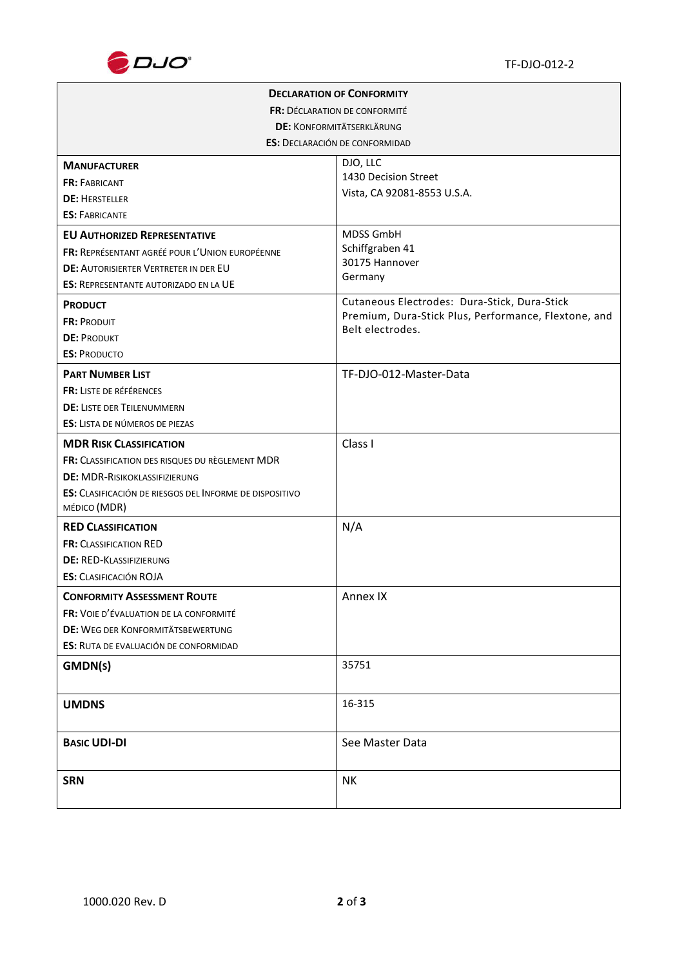

| <b>DECLARATION OF CONFORMITY</b>                                               |                                                                          |  |  |  |
|--------------------------------------------------------------------------------|--------------------------------------------------------------------------|--|--|--|
| FR: DÉCLARATION DE CONFORMITÉ                                                  |                                                                          |  |  |  |
| <b>DE: KONFORMITÄTSERKLÄRUNG</b>                                               |                                                                          |  |  |  |
| <b>ES: DECLARACIÓN DE CONFORMIDAD</b>                                          |                                                                          |  |  |  |
| <b>MANUFACTURER</b>                                                            | DJO, LLC                                                                 |  |  |  |
| <b>FR: FABRICANT</b>                                                           | 1430 Decision Street                                                     |  |  |  |
| <b>DE: HERSTELLER</b>                                                          | Vista, CA 92081-8553 U.S.A.                                              |  |  |  |
| <b>ES: FABRICANTE</b>                                                          |                                                                          |  |  |  |
| <b>EU AUTHORIZED REPRESENTATIVE</b>                                            | <b>MDSS GmbH</b>                                                         |  |  |  |
| FR: REPRÉSENTANT AGRÉÉ POUR L'UNION EUROPÉENNE                                 | Schiffgraben 41                                                          |  |  |  |
| <b>DE: AUTORISIERTER VERTRETER IN DER EU</b>                                   | 30175 Hannover<br>Germany                                                |  |  |  |
| <b>ES: REPRESENTANTE AUTORIZADO EN LA UE</b>                                   |                                                                          |  |  |  |
| <b>PRODUCT</b>                                                                 | Cutaneous Electrodes: Dura-Stick, Dura-Stick                             |  |  |  |
| <b>FR: PRODUIT</b>                                                             | Premium, Dura-Stick Plus, Performance, Flextone, and<br>Belt electrodes. |  |  |  |
| <b>DE: PRODUKT</b>                                                             |                                                                          |  |  |  |
| <b>ES: PRODUCTO</b>                                                            |                                                                          |  |  |  |
| <b>PART NUMBER LIST</b>                                                        | TF-DJO-012-Master-Data                                                   |  |  |  |
| FR: LISTE DE RÉFÉRENCES                                                        |                                                                          |  |  |  |
| <b>DE: LISTE DER TEILENUMMERN</b>                                              |                                                                          |  |  |  |
| <b>ES:</b> LISTA DE NÚMEROS DE PIEZAS                                          |                                                                          |  |  |  |
| <b>MDR RISK CLASSIFICATION</b>                                                 | Class I                                                                  |  |  |  |
| FR: CLASSIFICATION DES RISQUES DU RÈGLEMENT MDR                                |                                                                          |  |  |  |
| <b>DE: MDR-RISIKOKLASSIFIZIERUNG</b>                                           |                                                                          |  |  |  |
| <b>ES:</b> CLASIFICACIÓN DE RIESGOS DEL INFORME DE DISPOSITIVO<br>MÉDICO (MDR) |                                                                          |  |  |  |
| <b>RED CLASSIFICATION</b>                                                      | N/A                                                                      |  |  |  |
| <b>FR: CLASSIFICATION RED</b>                                                  |                                                                          |  |  |  |
| <b>DE: RED-KLASSIFIZIERUNG</b>                                                 |                                                                          |  |  |  |
| <b>ES:</b> CLASIFICACIÓN ROJA                                                  |                                                                          |  |  |  |
| <b>CONFORMITY ASSESSMENT ROUTE</b>                                             | Annex IX                                                                 |  |  |  |
| FR: VOIE D'ÉVALUATION DE LA CONFORMITÉ                                         |                                                                          |  |  |  |
| <b>DE: WEG DER KONFORMITÄTSBEWERTUNG</b>                                       |                                                                          |  |  |  |
| ES: RUTA DE EVALUACIÓN DE CONFORMIDAD                                          |                                                                          |  |  |  |
| GMDN(s)                                                                        | 35751                                                                    |  |  |  |
|                                                                                |                                                                          |  |  |  |
| <b>UMDNS</b>                                                                   | 16-315                                                                   |  |  |  |
| <b>BASIC UDI-DI</b>                                                            | See Master Data                                                          |  |  |  |
| <b>SRN</b>                                                                     | <b>NK</b>                                                                |  |  |  |